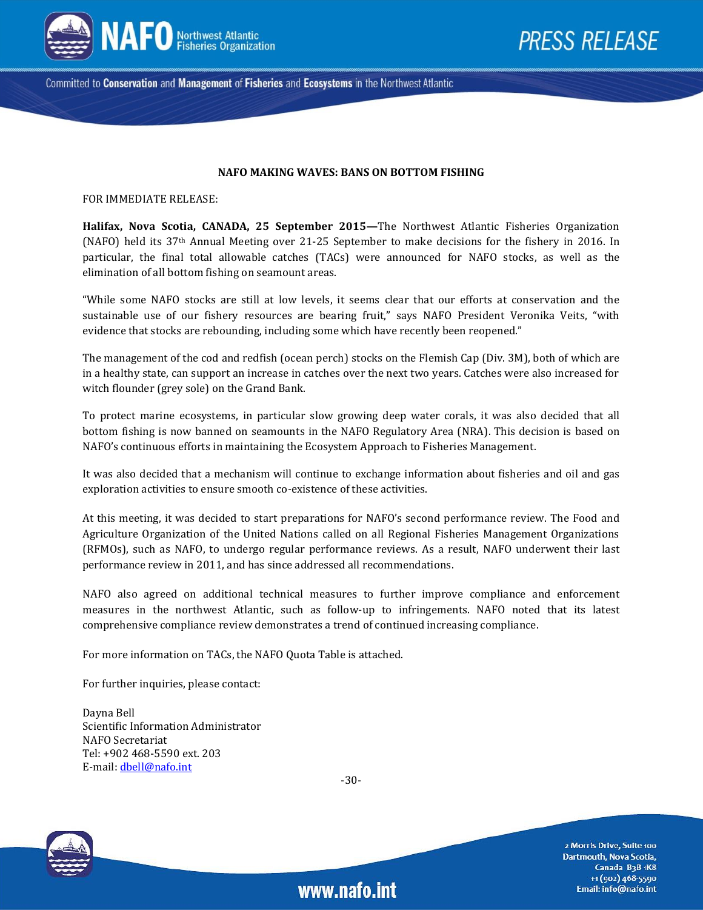

Committed to Conservation and Management of Fisheries and Ecosystems in the Northwest Atlantic

#### **NAFO MAKING WAVES: BANS ON BOTTOM FISHING**

FOR IMMEDIATE RELEASE:

**Halifax, Nova Scotia, CANADA, 25 September 2015—**The Northwest Atlantic Fisheries Organization (NAFO) held its 37th Annual Meeting over 21-25 September to make decisions for the fishery in 2016. In particular, the final total allowable catches (TACs) were announced for NAFO stocks, as well as the elimination of all bottom fishing on seamount areas.

"While some NAFO stocks are still at low levels, it seems clear that our efforts at conservation and the sustainable use of our fishery resources are bearing fruit," says NAFO President Veronika Veits, "with evidence that stocks are rebounding, including some which have recently been reopened."

The management of the cod and redfish (ocean perch) stocks on the Flemish Cap (Div. 3M), both of which are in a healthy state, can support an increase in catches over the next two years. Catches were also increased for witch flounder (grey sole) on the Grand Bank.

To protect marine ecosystems, in particular slow growing deep water corals, it was also decided that all bottom fishing is now banned on seamounts in the NAFO Regulatory Area (NRA). This decision is based on NAFO's continuous efforts in maintaining the Ecosystem Approach to Fisheries Management.

It was also decided that a mechanism will continue to exchange information about fisheries and oil and gas exploration activities to ensure smooth co-existence of these activities.

At this meeting, it was decided to start preparations for NAFO's second performance review. The Food and Agriculture Organization of the United Nations called on all Regional Fisheries Management Organizations (RFMOs), such as NAFO, to undergo regular performance reviews. As a result, NAFO underwent their last performance review in 2011, and has since addressed all recommendations.

NAFO also agreed on additional technical measures to further improve compliance and enforcement measures in the northwest Atlantic, such as follow-up to infringements. NAFO noted that its latest comprehensive compliance review demonstrates a trend of continued increasing compliance.

For more information on TACs, the NAFO Quota Table is attached.

For further inquiries, please contact:

Dayna Bell Scientific Information Administrator NAFO Secretariat Tel: +902 468-5590 ext. 203 E-mail[: dbell@nafo.int](file:///C:/Users/nafo/Desktop/Communication%20&%20Outreach/Press%20Releases/September%202015/draft/dbell@nafo.int)

-30-

www.nafo.int



2 Morris Drive, Suite 100 Dartmouth, Nova Scotia, Canada B<sub>3</sub>B<sub>1</sub>K8 +1 (902) 468-5590 Email: info@nafo.int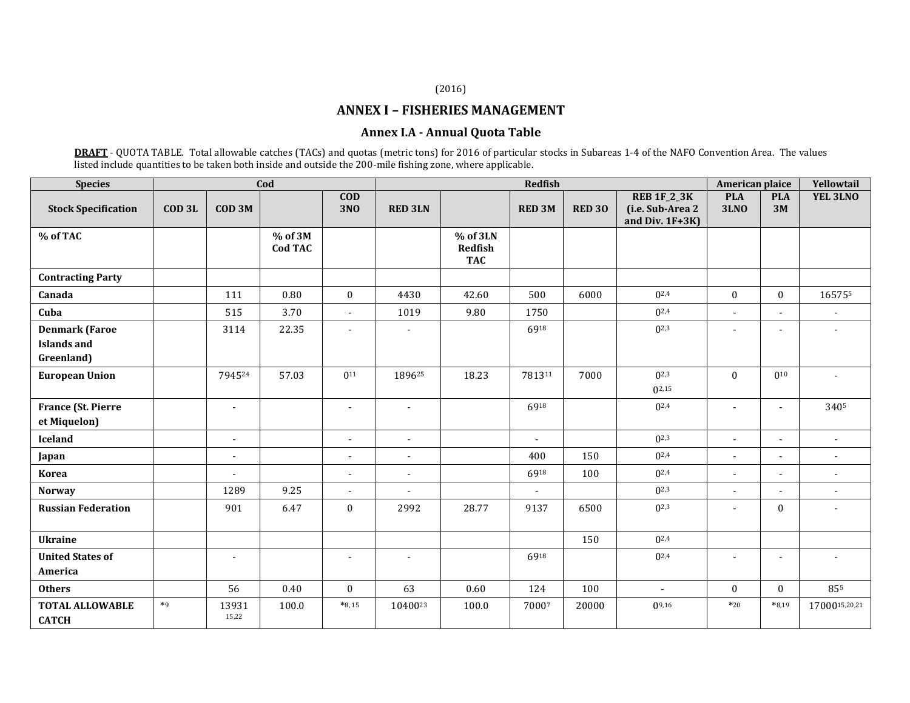### (2016)

## **ANNEX I – FISHERIES MANAGEMENT**

### **Annex I.A - Annual Quota Table**

**DRAFT** - QUOTA TABLE. Total allowable catches (TACs) and quotas (metric tons) for 2016 of particular stocks in Subareas 1-4 of the NAFO Convention Area. The values listed include quantities to be taken both inside and outside the 200-mile fishing zone, where applicable.

| <b>Species</b>                                            | Cod               |                   |                             |                          | Redfish                  |                                   |                |               |                                                            |                           | American plaice          |                          |
|-----------------------------------------------------------|-------------------|-------------------|-----------------------------|--------------------------|--------------------------|-----------------------------------|----------------|---------------|------------------------------------------------------------|---------------------------|--------------------------|--------------------------|
| <b>Stock Specification</b>                                | COD <sub>3L</sub> | COD <sub>3M</sub> |                             | $\bf{COD}$<br><b>3NO</b> | <b>RED 3LN</b>           |                                   | <b>RED 3M</b>  | <b>RED 30</b> | <b>REB 1F_2_3K</b><br>(i.e. Sub-Area 2<br>and Div. $1F+3K$ | <b>PLA</b><br><b>3LNO</b> | <b>PLA</b><br>3M         | YEL 3LNO                 |
| % of TAC                                                  |                   |                   | $%$ of 3M<br><b>Cod TAC</b> |                          |                          | % of 3LN<br>Redfish<br><b>TAC</b> |                |               |                                                            |                           |                          |                          |
| <b>Contracting Party</b>                                  |                   |                   |                             |                          |                          |                                   |                |               |                                                            |                           |                          |                          |
| Canada                                                    |                   | 111               | 0.80                        | $\boldsymbol{0}$         | 4430                     | 42.60                             | 500            | 6000          | $0^{2,4}$                                                  | $\mathbf{0}$              | $\mathbf{0}$             | 165755                   |
| Cuba                                                      |                   | 515               | 3.70                        | $\blacksquare$           | 1019                     | 9.80                              | 1750           |               | $0^{2,4}$                                                  | $\blacksquare$            | $\sim$                   | $\blacksquare$           |
| <b>Denmark (Faroe</b><br><b>Islands</b> and<br>Greenland) |                   | 3114              | 22.35                       | $\overline{\phantom{a}}$ | $\overline{\phantom{a}}$ |                                   | 6918           |               | $0^{2,3}$                                                  |                           | $\blacksquare$           |                          |
| <b>European Union</b>                                     |                   | 794524            | 57.03                       | $0^{11}$                 | 189625                   | 18.23                             | 781311         | 7000          | $0^{2,3}$<br>$0^{2,15}$                                    | $\theta$                  | $0^{10}$                 |                          |
| France (St. Pierre<br>et Miquelon)                        |                   |                   |                             |                          |                          |                                   | 6918           |               | $0^{2,4}$                                                  |                           | $\overline{\phantom{a}}$ | 3405                     |
| Iceland                                                   |                   | $\sim$            |                             | $\overline{a}$           | $\sim$                   |                                   | $\blacksquare$ |               | $0^{2,3}$                                                  | $\blacksquare$            | $\sim$                   | $\sim$                   |
| Japan                                                     |                   |                   |                             |                          | $\blacksquare$           |                                   | 400            | 150           | $0^{2,4}$                                                  | $\blacksquare$            | $\sim$                   | $\overline{\phantom{a}}$ |
| <b>Korea</b>                                              |                   |                   |                             | $\overline{\phantom{a}}$ | $\overline{\phantom{a}}$ |                                   | 6918           | 100           | $0^{2,4}$                                                  | $\blacksquare$            |                          | $\overline{a}$           |
| <b>Norway</b>                                             |                   | 1289              | 9.25                        |                          |                          |                                   | $\overline{a}$ |               | $0^{2,3}$                                                  | $\blacksquare$            |                          | ÷                        |
| <b>Russian Federation</b>                                 |                   | 901               | 6.47                        | $\boldsymbol{0}$         | 2992                     | 28.77                             | 9137           | 6500          | $0^{2,3}$                                                  | $\blacksquare$            | $\Omega$                 | $\blacksquare$           |
| <b>Ukraine</b>                                            |                   |                   |                             |                          |                          |                                   |                | 150           | $0^{2,4}$                                                  |                           |                          |                          |
| <b>United States of</b><br>America                        |                   |                   |                             |                          |                          |                                   | 6918           |               | $0^{2,4}$                                                  | $\blacksquare$            | $\overline{\phantom{a}}$ |                          |
| <b>Others</b>                                             |                   | 56                | 0.40                        | $\boldsymbol{0}$         | 63                       | 0.60                              | 124            | 100           | $\sim$                                                     | $\bf{0}$                  | $\mathbf{0}$             | 855                      |
| <b>TOTAL ALLOWABLE</b><br><b>CATCH</b>                    | $*9$              | 13931<br>15,22    | 100.0                       | $*8,15$                  | 1040023                  | 100.0                             | 70007          | 20000         | $0^{9,16}$                                                 | $*20$                     | $*8,19$                  | 1700015,20,21            |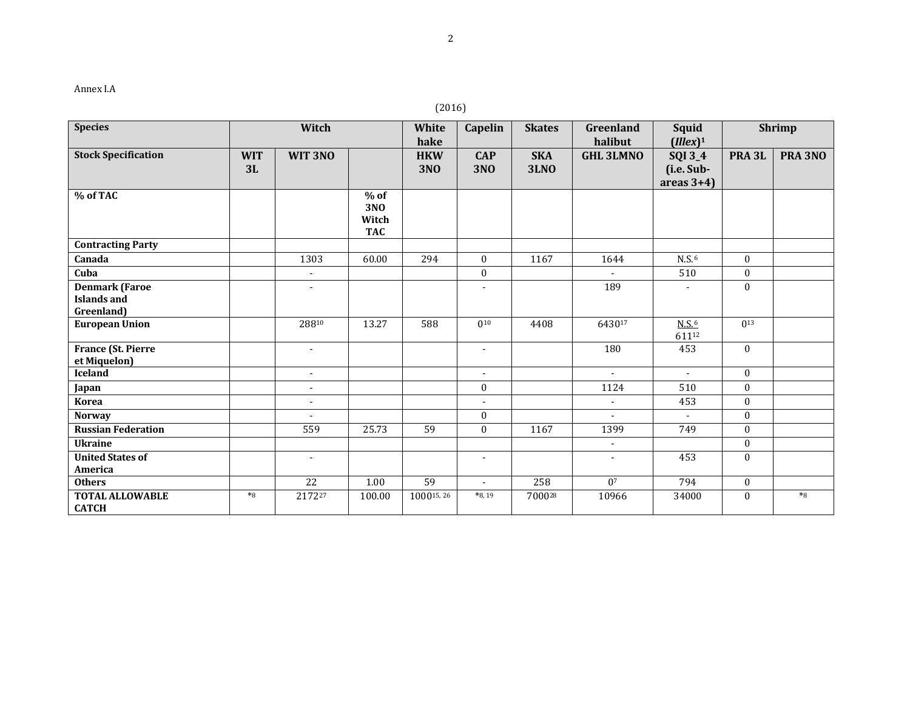| Annex |
|-------|
|-------|

# (2016)

| <b>Species</b>                                            | Witch            |                          | White<br>hake                               | Capelin                  | <b>Skates</b>            | Squid<br>Greenland<br>halibut<br>$(Illex)^1$ |                          | <b>Shrimp</b>                                 |                   |         |
|-----------------------------------------------------------|------------------|--------------------------|---------------------------------------------|--------------------------|--------------------------|----------------------------------------------|--------------------------|-----------------------------------------------|-------------------|---------|
| <b>Stock Specification</b>                                | <b>WIT</b><br>3L | WIT 3NO                  |                                             | <b>HKW</b><br><b>3NO</b> | <b>CAP</b><br><b>3NO</b> | <b>SKA</b><br><b>3LNO</b>                    | <b>GHL 3LMNO</b>         | <b>SQI 3_4</b><br>(i.e. Sub-<br>areas $3+4$ ) | PRA <sub>3L</sub> | PRA 3NO |
| % of TAC                                                  |                  |                          | $%$ of<br><b>3NO</b><br>Witch<br><b>TAC</b> |                          |                          |                                              |                          |                                               |                   |         |
| <b>Contracting Party</b>                                  |                  |                          |                                             |                          |                          |                                              |                          |                                               |                   |         |
| Canada                                                    |                  | 1303                     | 60.00                                       | 294                      | $\mathbf{0}$             | 1167                                         | 1644                     | $N.S.$ <sup>6</sup>                           | $\mathbf{0}$      |         |
| Cuba                                                      |                  |                          |                                             |                          | $\overline{0}$           |                                              |                          | 510                                           | $\boldsymbol{0}$  |         |
| <b>Denmark (Faroe</b><br><b>Islands and</b><br>Greenland) |                  | $\overline{\phantom{a}}$ |                                             |                          | $\overline{\phantom{a}}$ |                                              | 189                      | $\blacksquare$                                | $\mathbf{0}$      |         |
| <b>European Union</b>                                     |                  | 28810                    | 13.27                                       | 588                      | $0^{10}$                 | 4408                                         | 643017                   | N.S. <sup>6</sup><br>61112                    | $0^{13}$          |         |
| <b>France (St. Pierre</b><br>et Miquelon)                 |                  | $\overline{\phantom{a}}$ |                                             |                          | $\blacksquare$           |                                              | 180                      | 453                                           | $\mathbf{0}$      |         |
| <b>Iceland</b>                                            |                  | $\blacksquare$           |                                             |                          | $\blacksquare$           |                                              | $\sim$                   | $\sim$                                        | $\mathbf{0}$      |         |
| Japan                                                     |                  | $\overline{\phantom{a}}$ |                                             |                          | $\mathbf{0}$             |                                              | 1124                     | 510                                           | $\mathbf{0}$      |         |
| <b>Korea</b>                                              |                  | $\blacksquare$           |                                             |                          |                          |                                              | $\overline{\phantom{a}}$ | 453                                           | $\mathbf{0}$      |         |
| <b>Norway</b>                                             |                  |                          |                                             |                          | $\overline{0}$           |                                              | $\overline{a}$           | $\overline{\phantom{a}}$                      | $\mathbf{0}$      |         |
| <b>Russian Federation</b>                                 |                  | 559                      | 25.73                                       | 59                       | $\overline{0}$           | 1167                                         | 1399                     | 749                                           | $\mathbf{0}$      |         |
| <b>Ukraine</b>                                            |                  |                          |                                             |                          |                          |                                              | $\overline{\phantom{a}}$ |                                               | $\mathbf{0}$      |         |
| <b>United States of</b><br>America                        |                  | $\blacksquare$           |                                             |                          | $\blacksquare$           |                                              | $\overline{\phantom{a}}$ | 453                                           | $\mathbf{0}$      |         |
| <b>Others</b>                                             |                  | 22                       | 1.00                                        | $\overline{59}$          | $\overline{\phantom{a}}$ | 258                                          | 0 <sup>7</sup>           | 794                                           | $\boldsymbol{0}$  |         |
| <b>TOTAL ALLOWABLE</b><br><b>CATCH</b>                    | $*8$             | 217227                   | 100.00                                      | 100015, 26               | $*8,19$                  | 700028                                       | 10966                    | 34000                                         | $\mathbf{0}$      | $*8$    |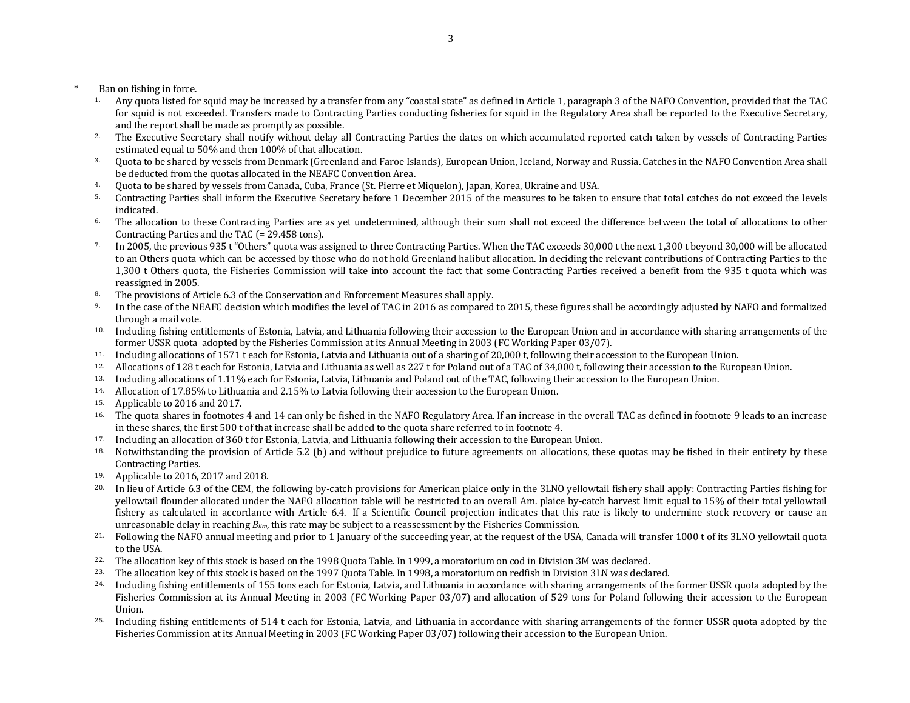- Ban on fishing in force.
	- <sup>1.</sup> Any quota listed for squid may be increased by a transfer from any "coastal state" as defined in Article 1, paragraph 3 of the NAFO Convention, provided that the TAC for squid is not exceeded. Transfers made to Contracting Parties conducting fisheries for squid in the Regulatory Area shall be reported to the Executive Secretary, and the report shall be made as promptly as possible.
	- <sup>2.</sup> The Executive Secretary shall notify without delay all Contracting Parties the dates on which accumulated reported catch taken by vessels of Contracting Parties estimated equal to 50% and then 100% of that allocation.
	- 3. Quota to be shared by vessels from Denmark (Greenland and Faroe Islands), European Union, Iceland, Norway and Russia. Catches in the NAFO Convention Area shall be deducted from the quotas allocated in the NEAFC Convention Area.
	- 4. Quota to be shared by vessels from Canada, Cuba, France (St. Pierre et Miquelon), Japan, Korea, Ukraine and USA.
	- 5. Contracting Parties shall inform the Executive Secretary before 1 December 2015 of the measures to be taken to ensure that total catches do not exceed the levels indicated.
	- <sup>6.</sup> The allocation to these Contracting Parties are as yet undetermined, although their sum shall not exceed the difference between the total of allocations to other Contracting Parties and the TAC (= 29.458 tons).
	- <sup>7.</sup> In 2005, the previous 935 t "Others" quota was assigned to three Contracting Parties. When the TAC exceeds 30,000 t the next 1,300 t beyond 30,000 will be allocated to an Others quota which can be accessed by those who do not hold Greenland halibut allocation. In deciding the relevant contributions of Contracting Parties to the 1,300 t Others quota, the Fisheries Commission will take into account the fact that some Contracting Parties received a benefit from the 935 t quota which was reassigned in 2005.
	- 8. The provisions of Article 6.3 of the Conservation and Enforcement Measures shall apply.
	- 9. In the case of the NEAFC decision which modifies the level of TAC in 2016 as compared to 2015, these figures shall be accordingly adjusted by NAFO and formalized through a mail vote.
	- 10. Including fishing entitlements of Estonia, Latvia, and Lithuania following their accession to the European Union and in accordance with sharing arrangements of the former USSR quota adopted by the Fisheries Commission at its Annual Meeting in 2003 (FC Working Paper 03/07).
	- 11. Including allocations of 1571 t each for Estonia, Latvia and Lithuania out of a sharing of 20,000 t, following their accession to the European Union.
	- <sup>12.</sup> Allocations of 128 t each for Estonia, Latvia and Lithuania as well as 227 t for Poland out of a TAC of 34,000 t, following their accession to the European Union.
	- 13. Including allocations of 1.11% each for Estonia, Latvia, Lithuania and Poland out of the TAC, following their accession to the European Union.
	- 14. Allocation of 17.85% to Lithuania and 2.15% to Latvia following their accession to the European Union.
	- 15. Applicable to 2016 and 2017.
	- <sup>16.</sup> The quota shares in footnotes 4 and 14 can only be fished in the NAFO Regulatory Area. If an increase in the overall TAC as defined in footnote 9 leads to an increase in these shares, the first 500 t of that increase shall be added to the quota share referred to in footnote 4.
	- 17. Including an allocation of 360 t for Estonia, Latvia, and Lithuania following their accession to the European Union.
	- <sup>18.</sup> Notwithstanding the provision of Article 5.2 (b) and without prejudice to future agreements on allocations, these quotas may be fished in their entirety by these Contracting Parties.
	- 19. Applicable to 2016, 2017 and 2018.
	- In lieu of Article 6.3 of the CEM, the following by-catch provisions for American plaice only in the 3LNO yellowtail fishery shall apply: Contracting Parties fishing for yellowtail flounder allocated under the NAFO allocation table will be restricted to an overall Am. plaice by-catch harvest limit equal to 15% of their total yellowtail fishery as calculated in accordance with Article 6.4. If a Scientific Council projection indicates that this rate is likely to undermine stock recovery or cause an unreasonable delay in reaching *Blim*, this rate may be subject to a reassessment by the Fisheries Commission.
	- <sup>21.</sup> Following the NAFO annual meeting and prior to 1 January of the succeeding year, at the request of the USA, Canada will transfer 1000 t of its 3LNO yellowtail quota to the USA.
	- 22. The allocation key of this stock is based on the 1998 Quota Table. In 1999, a moratorium on cod in Division 3M was declared.
	- 23. The allocation key of this stock is based on the 1997 Quota Table. In 1998, a moratorium on redfish in Division 3LN was declared.
	- 24. Including fishing entitlements of 155 tons each for Estonia, Latvia, and Lithuania in accordance with sharing arrangements of the former USSR quota adopted by the Fisheries Commission at its Annual Meeting in 2003 (FC Working Paper 03/07) and allocation of 529 tons for Poland following their accession to the European Union.
	- 25. Including fishing entitlements of 514 t each for Estonia, Latvia, and Lithuania in accordance with sharing arrangements of the former USSR quota adopted by the Fisheries Commission at its Annual Meeting in 2003 (FC Working Paper 03/07) following their accession to the European Union.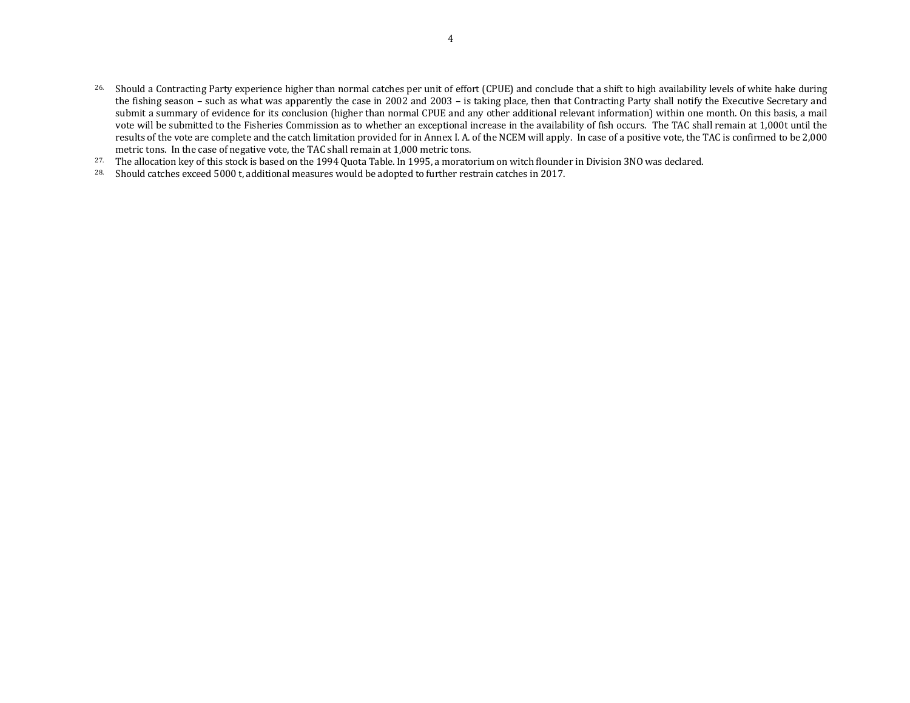- 26. Should a Contracting Party experience higher than normal catches per unit of effort (CPUE) and conclude that a shift to high availability levels of white hake during the fishing season – such as what was apparently the case in 2002 and 2003 – is taking place, then that Contracting Party shall notify the Executive Secretary and submit a summary of evidence for its conclusion (higher than normal CPUE and any other additional relevant information) within one month. On this basis, a mail vote will be submitted to the Fisheries Commission as to whether an exceptional increase in the availability of fish occurs. The TAC shall remain at 1,000t until the results of the vote are complete and the catch limitation provided for in Annex I. A. of the NCEM will apply. In case of a positive vote, the TAC is confirmed to be 2,000 metric tons. In the case of negative vote, the TAC shall remain at 1,000 metric tons.
- 27. The allocation key of this stock is based on the 1994 Quota Table. In 1995, a moratorium on witch flounder in Division 3NO was declared.
- 28. Should catches exceed 5000 t, additional measures would be adopted to further restrain catches in 2017.